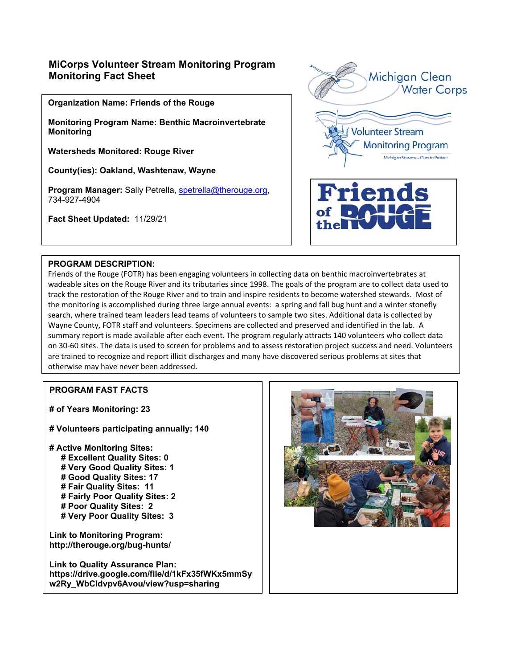## **MiCorps Volunteer Stream Monitoring Program Monitoring Fact Sheet**

**Organization Name: Friends of the Rouge** 

**Monitoring Program Name: Benthic Macroinvertebrate Monitoring** 

**Watersheds Monitored: Rouge River** 

**County(ies): Oakland, Washtenaw, Wayne** 

Program Manager: Sally Petrella, spetrella@therouge.org, 734-927-4904

**Fact Sheet Updated:** 11/29/21



## **PROGRAM DESCRIPTION:**

Friends of the Rouge (FOTR) has been engaging volunteers in collecting data on benthic macroinvertebrates at wadeable sites on the Rouge River and its tributaries since 1998. The goals of the program are to collect data used to track the restoration of the Rouge River and to train and inspire residents to become watershed stewards. Most of the monitoring is accomplished during three large annual events: a spring and fall bug hunt and a winter stonefly search, where trained team leaders lead teams of volunteers to sample two sites. Additional data is collected by Wayne County, FOTR staff and volunteers. Specimens are collected and preserved and identified in the lab. A summary report is made available after each event. The program regularly attracts 140 volunteers who collect data on 30‐60 sites. The data is used to screen for problems and to assess restoration project success and need. Volunteers are trained to recognize and report illicit discharges and many have discovered serious problems at sites that otherwise may have never been addressed.

## **PROGRAM FAST FACTS**

**# of Years Monitoring: 23** 

**# Volunteers participating annually: 140** 

**# Active Monitoring Sites: # Excellent Quality Sites: 0 # Very Good Quality Sites: 1 # Good Quality Sites: 17 # Fair Quality Sites: 11 # Fairly Poor Quality Sites: 2 # Poor Quality Sites: 2 # Very Poor Quality Sites: 3** 

**Link to Monitoring Program: http://therouge.org/bug-hunts/**

**Link to Quality Assurance Plan: https://drive.google.com/file/d/1kFx35fWKx5mmSy w2Ry\_WbCIdvpv6Avou/view?usp=sharing**